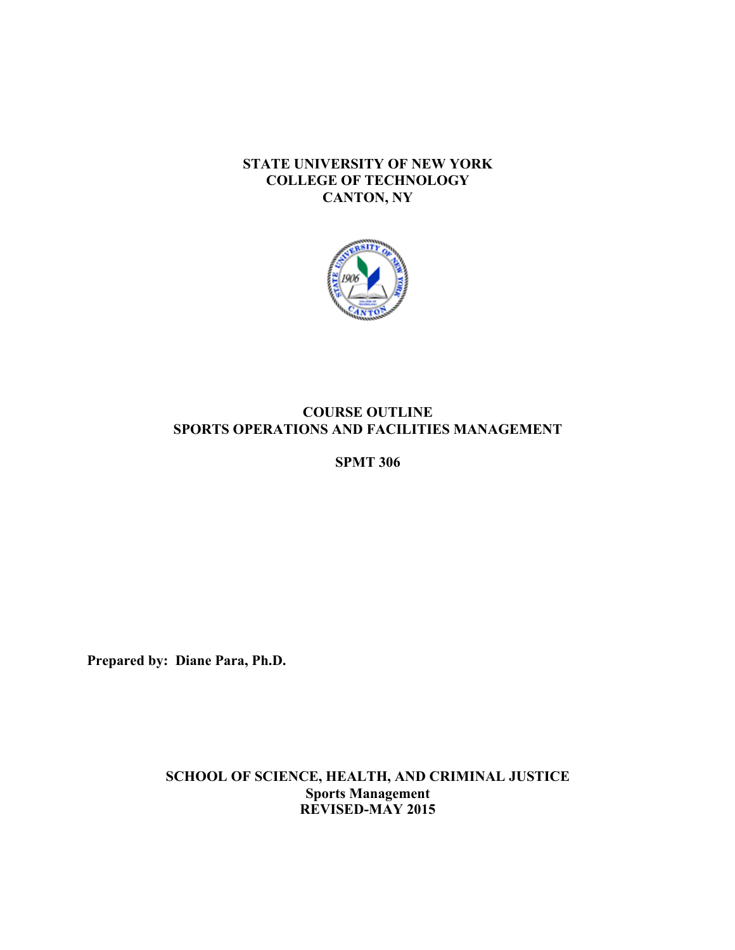# **STATE UNIVERSITY OF NEW YORK COLLEGE OF TECHNOLOGY CANTON, NY**



# **COURSE OUTLINE SPORTS OPERATIONS AND FACILITIES MANAGEMENT**

**SPMT 306** 

**Prepared by: Diane Para, Ph.D.** 

**SCHOOL OF SCIENCE, HEALTH, AND CRIMINAL JUSTICE Sports Management REVISED-MAY 2015**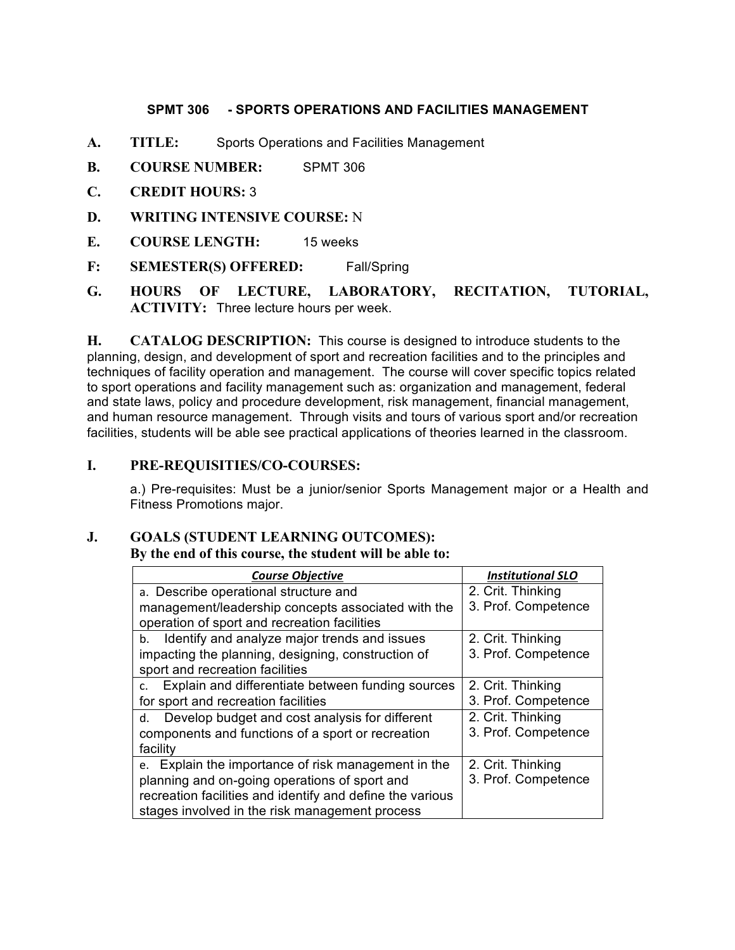## **SPMT 306 - SPORTS OPERATIONS AND FACILITIES MANAGEMENT**

- **A. TITLE:** Sports Operations and Facilities Management
- **B. COURSE NUMBER:** SPMT 306
- **C. CREDIT HOURS:** 3
- **D. WRITING INTENSIVE COURSE:** N
- **E. COURSE LENGTH:** 15 weeks
- **F: SEMESTER(S) OFFERED:** Fall/Spring
- **G. HOURS OF LECTURE, LABORATORY, RECITATION, TUTORIAL, ACTIVITY:** Three lecture hours per week.

**H.** CATALOG DESCRIPTION: This course is designed to introduce students to the planning, design, and development of sport and recreation facilities and to the principles and and state laws, policy and procedure development, risk management, financial management, and human resource management. Through visits and tours of various sport and/or recreation techniques of facility operation and management. The course will cover specific topics related to sport operations and facility management such as: organization and management, federal facilities, students will be able see practical applications of theories learned in the classroom.

# **I. PRE-REQUISITIES/CO-COURSES:**

 a.) Pre-requisites: Must be a junior/senior Sports Management major or a Health and Fitness Promotions major.

## **J. GOALS (STUDENT LEARNING OUTCOMES):**

#### **By the end of this course, the student will be able to:**

| <b>Course Objective</b>                                             | <b>Institutional SLO</b> |
|---------------------------------------------------------------------|--------------------------|
| a. Describe operational structure and                               | 2. Crit. Thinking        |
| management/leadership concepts associated with the                  | 3. Prof. Competence      |
| operation of sport and recreation facilities                        |                          |
| Identify and analyze major trends and issues<br>b.                  | 2. Crit. Thinking        |
| impacting the planning, designing, construction of                  | 3. Prof. Competence      |
| sport and recreation facilities                                     |                          |
| Explain and differentiate between funding sources<br>$\mathsf{C}$ . | 2. Crit. Thinking        |
| for sport and recreation facilities                                 | 3. Prof. Competence      |
| Develop budget and cost analysis for different<br>d.                | 2. Crit. Thinking        |
| components and functions of a sport or recreation                   | 3. Prof. Competence      |
| facility                                                            |                          |
| e. Explain the importance of risk management in the                 | 2. Crit. Thinking        |
| planning and on-going operations of sport and                       | 3. Prof. Competence      |
| recreation facilities and identify and define the various           |                          |
| stages involved in the risk management process                      |                          |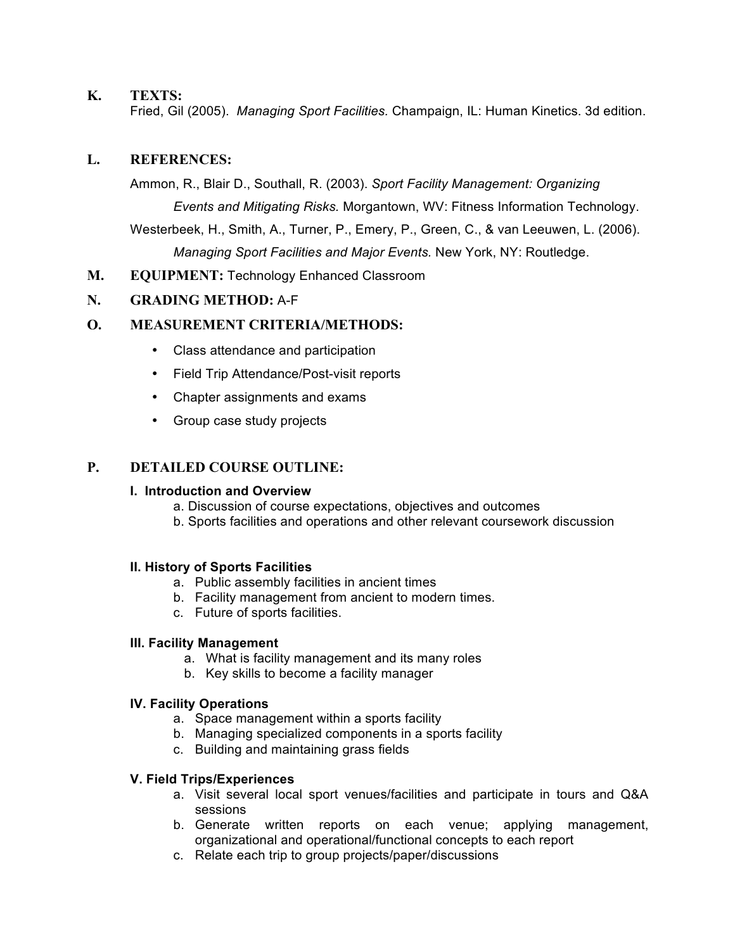# **K. TEXTS:**

Fried, Gil (2005). *Managing Sport Facilities.* Champaign, IL: Human Kinetics. 3d edition.

# **L. REFERENCES:**

 Ammon, R., Blair D., Southall, R. (2003). *Sport Facility Management: Organizing Events and Mitigating Risks.* Morgantown, WV: Fitness Information Technology. Westerbeek, H., Smith, A., Turner, P., Emery, P., Green, C., & van Leeuwen, L. (2006).  *Managing Sport Facilities and Major Events.* New York, NY: Routledge.

**M. EQUIPMENT:** Technology Enhanced Classroom

# **N. GRADING METHOD:** A-F

## **O. MEASUREMENT CRITERIA/METHODS:**

- • Class attendance and participation
- • Field Trip Attendance/Post-visit reports
- • Chapter assignments and exams
- Group case study projects

## **P. DETAILED COURSE OUTLINE:**

## **I. Introduction and Overview**

- a. Discussion of course expectations, objectives and outcomes
- b. Sports facilities and operations and other relevant coursework discussion

## **II. History of Sports Facilities**

- a. Public assembly facilities in ancient times
- b. Facility management from ancient to modern times.
- c. Future of sports facilities.

#### **III. Facility Management**

- a. What is facility management and its many roles
- b. Key skills to become a facility manager

#### **IV. Facility Operations**

- a. Space management within a sports facility
- b. Managing specialized components in a sports facility
- c. Building and maintaining grass fields

## **V. Field Trips/Experiences**

- a. Visit several local sport venues/facilities and participate in tours and Q&A sessions
- b. Generate written reports on each venue; applying management, organizational and operational/functional concepts to each report
- c. Relate each trip to group projects/paper/discussions